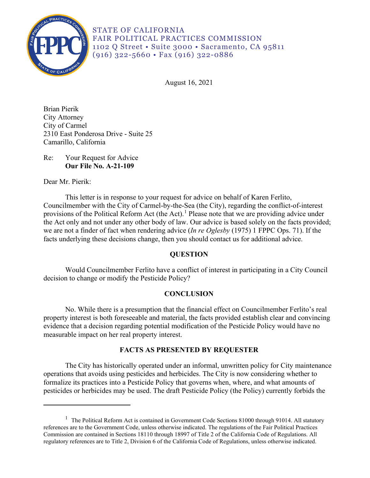

STATE OF CALIFORNIA FAIR POLITICAL PRACTICES COMMISSION 1102 Q Street • Suite 3000 • Sacramento, CA 95811 (916) 322-5660 • Fax (916) 322-0886

August 16, 2021

Brian Pierik City Attorney City of Carmel 2310 East Ponderosa Drive - Suite 25 Camarillo, California

Re: Your Request for Advice **Our File No. A-21-109** 

Dear Mr. Pierik:

This letter is in response to your request for advice on behalf of Karen Ferlito, Councilmember with the City of Carmel-by-the-Sea (the City), regarding the conflict-of-interest provisions of the Political Reform Act (the Act).<sup>[1](#page-0-0)</sup> Please note that we are providing advice under the Act only and not under any other body of law. Our advice is based solely on the facts provided; we are not a finder of fact when rendering advice (*In re Oglesby* (1975) 1 FPPC Ops. 71). If the facts underlying these decisions change, then you should contact us for additional advice.

# **QUESTION**

Would Councilmember Ferlito have a conflict of interest in participating in a City Council decision to change or modify the Pesticide Policy?

# **CONCLUSION**

No. While there is a presumption that the financial effect on Councilmember Ferlito's real property interest is both foreseeable and material, the facts provided establish clear and convincing evidence that a decision regarding potential modification of the Pesticide Policy would have no measurable impact on her real property interest.

# **FACTS AS PRESENTED BY REQUESTER**

 formalize its practices into a Pesticide Policy that governs when, where, and what amounts of The City has historically operated under an informal, unwritten policy for City maintenance operations that avoids using pesticides and herbicides. The City is now considering whether to pesticides or herbicides may be used. The draft Pesticide Policy (the Policy) currently forbids the

<span id="page-0-0"></span> $1$  The Political Reform Act is contained in Government Code Sections 81000 through 91014. All statutory references are to the Government Code, unless otherwise indicated. The regulations of the Fair Political Practices Commission are contained in Sections 18110 through 18997 of Title 2 of the California Code of Regulations. All regulatory references are to Title 2, Division 6 of the California Code of Regulations, unless otherwise indicated.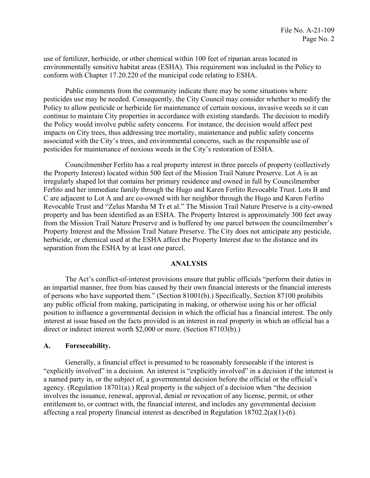use of fertilizer, herbicide, or other chemical within 100 feet of riparian areas located in environmentally sensitive habitat areas (ESHA). This requirement was included in the Policy to conform with Chapter 17.20.220 of the municipal code relating to ESHA.

Public comments from the community indicate there may be some situations where pesticides use may be needed. Consequently, the City Council may consider whether to modify the Policy to allow pesticide or herbicide for maintenance of certain noxious, invasive weeds so it can continue to maintain City properties in accordance with existing standards. The decision to modify the Policy would involve public safety concerns. For instance, the decision would affect pest impacts on City trees, thus addressing tree mortality, maintenance and public safety concerns associated with the City's trees, and environmental concerns, such as the responsible use of pesticides for maintenance of noxious weeds in the City's restoration of ESHA.

Councilmember Ferlito has a real property interest in three parcels of property (collectively the Property Interest) located within 500 feet of the Mission Trail Nature Preserve. Lot A is an irregularly shaped lot that contains her primary residence and owned in full by Councilmember Ferlito and her immediate family through the Hugo and Karen Ferlito Revocable Trust. Lots B and C are adjacent to Lot A and are co-owned with her neighbor through the Hugo and Karen Ferlito Revocable Trust and "Zelus Marsha M Tr et al." The Mission Trail Nature Preserve is a city-owned property and has been identified as an ESHA. The Property Interest is approximately 300 feet away from the Mission Trail Nature Preserve and is buffered by one parcel between the councilmember's Property Interest and the Mission Trail Nature Preserve. The City does not anticipate any pesticide, herbicide, or chemical used at the ESHA affect the Property Interest due to the distance and its separation from the ESHA by at least one parcel.

#### **ANALYSIS**

The Act's conflict-of-interest provisions ensure that public officials "perform their duties in an impartial manner, free from bias caused by their own financial interests or the financial interests of persons who have supported them." (Section 81001(b).) Specifically, Section 87100 prohibits any public official from making, participating in making, or otherwise using his or her official position to influence a governmental decision in which the official has a financial interest. The only interest at issue based on the facts provided is an interest in real property in which an official has a direct or indirect interest worth \$2,000 or more. (Section 87103(b).)

### **A. Foreseeability.**

Generally, a financial effect is presumed to be reasonably foreseeable if the interest is "explicitly involved" in a decision. An interest is "explicitly involved" in a decision if the interest is a named party in, or the subject of, a governmental decision before the official or the official's agency. (Regulation 18701(a).) Real property is the subject of a decision when "the decision involves the issuance, renewal, approval, denial or revocation of any license, permit, or other entitlement to, or contract with, the financial interest, and includes any governmental decision affecting a real property financial interest as described in Regulation 18702.2(a)(1)-(6).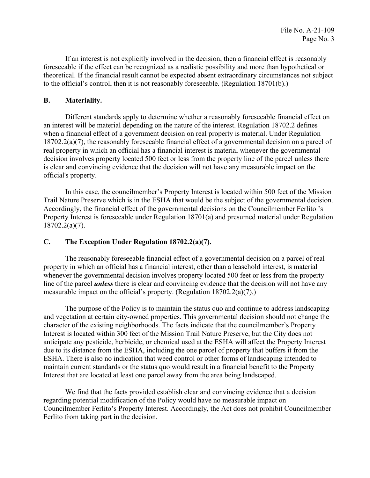If an interest is not explicitly involved in the decision, then a financial effect is reasonably foreseeable if the effect can be recognized as a realistic possibility and more than hypothetical or theoretical. If the financial result cannot be expected absent extraordinary circumstances not subject to the official's control, then it is not reasonably foreseeable. (Regulation 18701(b).)

### **B. Materiality.**

Different standards apply to determine whether a reasonably foreseeable financial effect on an interest will be material depending on the nature of the interest. Regulation 18702.2 defines when a financial effect of a government decision on real property is material. Under Regulation 18702.2(a)(7), the reasonably foreseeable financial effect of a governmental decision on a parcel of real property in which an official has a financial interest is material whenever the governmental decision involves property located 500 feet or less from the property line of the parcel unless there is clear and convincing evidence that the decision will not have any measurable impact on the official's property.

In this case, the councilmember's Property Interest is located within 500 feet of the Mission Trail Nature Preserve which is in the ESHA that would be the subject of the governmental decision. Accordingly, the financial effect of the governmental decisions on the Councilmember Ferlito 's Property Interest is foreseeable under Regulation 18701(a) and presumed material under Regulation 18702.2(a)(7).

### **C. The Exception Under Regulation 18702.2(a)(7).**

The reasonably foreseeable financial effect of a governmental decision on a parcel of real property in which an official has a financial interest, other than a leasehold interest, is material whenever the governmental decision involves property located 500 feet or less from the property line of the parcel *unless* there is clear and convincing evidence that the decision will not have any measurable impact on the official's property. (Regulation 18702.2(a)(7).)

 and vegetation at certain city-owned properties. This governmental decision should not change the Interest is located within 300 feet of the Mission Trail Nature Preserve, but the City does not The purpose of the Policy is to maintain the status quo and continue to address landscaping character of the existing neighborhoods. The facts indicate that the councilmember's Property anticipate any pesticide, herbicide, or chemical used at the ESHA will affect the Property Interest due to its distance from the ESHA, including the one parcel of property that buffers it from the ESHA. There is also no indication that weed control or other forms of landscaping intended to maintain current standards or the status quo would result in a financial benefit to the Property Interest that are located at least one parcel away from the area being landscaped.

We find that the facts provided establish clear and convincing evidence that a decision regarding potential modification of the Policy would have no measurable impact on Councilmember Ferlito's Property Interest. Accordingly, the Act does not prohibit Councilmember Ferlito from taking part in the decision.